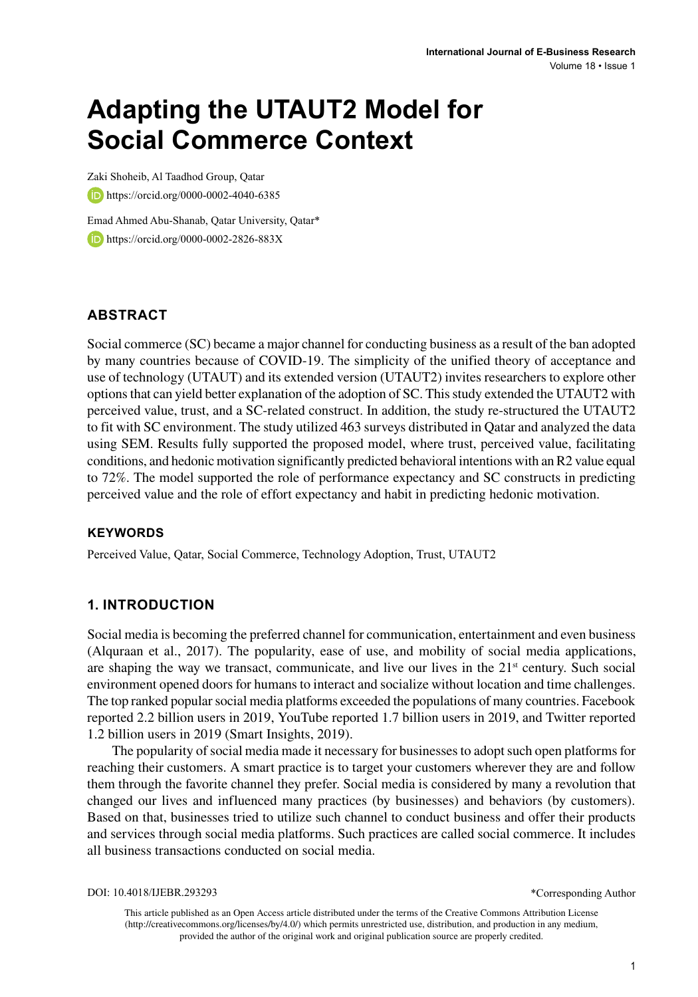# **Adapting the UTAUT2 Model for Social Commerce Context**

Zaki Shoheib, Al Taadhod Group, Qatar https://orcid.org/0000-0002-4040-6385

Emad Ahmed Abu-Shanab, Qatar University, Qatar\* **https://orcid.org/0000-0002-2826-883X** 

# **ABSTRACT**

Social commerce (SC) became a major channel for conducting business as a result of the ban adopted by many countries because of COVID-19. The simplicity of the unified theory of acceptance and use of technology (UTAUT) and its extended version (UTAUT2) invites researchers to explore other options that can yield better explanation of the adoption of SC. This study extended the UTAUT2 with perceived value, trust, and a SC-related construct. In addition, the study re-structured the UTAUT2 to fit with SC environment. The study utilized 463 surveys distributed in Qatar and analyzed the data using SEM. Results fully supported the proposed model, where trust, perceived value, facilitating conditions, and hedonic motivation significantly predicted behavioral intentions with an R2 value equal to 72%. The model supported the role of performance expectancy and SC constructs in predicting perceived value and the role of effort expectancy and habit in predicting hedonic motivation.

## **Keywords**

Perceived Value, Qatar, Social Commerce, Technology Adoption, Trust, UTAUT2

## **1. INTRODUCTION**

Social media is becoming the preferred channel for communication, entertainment and even business (Alquraan et al., 2017). The popularity, ease of use, and mobility of social media applications, are shaping the way we transact, communicate, and live our lives in the  $21<sup>st</sup>$  century. Such social environment opened doors for humans to interact and socialize without location and time challenges. The top ranked popular social media platforms exceeded the populations of many countries. Facebook reported 2.2 billion users in 2019, YouTube reported 1.7 billion users in 2019, and Twitter reported 1.2 billion users in 2019 (Smart Insights, 2019).

The popularity of social media made it necessary for businesses to adopt such open platforms for reaching their customers. A smart practice is to target your customers wherever they are and follow them through the favorite channel they prefer. Social media is considered by many a revolution that changed our lives and influenced many practices (by businesses) and behaviors (by customers). Based on that, businesses tried to utilize such channel to conduct business and offer their products and services through social media platforms. Such practices are called social commerce. It includes all business transactions conducted on social media.

DOI: 10.4018/IJEBR.293293

\*Corresponding Author

This article published as an Open Access article distributed under the terms of the Creative Commons Attribution License (http://creativecommons.org/licenses/by/4.0/) which permits unrestricted use, distribution, and production in any medium, provided the author of the original work and original publication source are properly credited.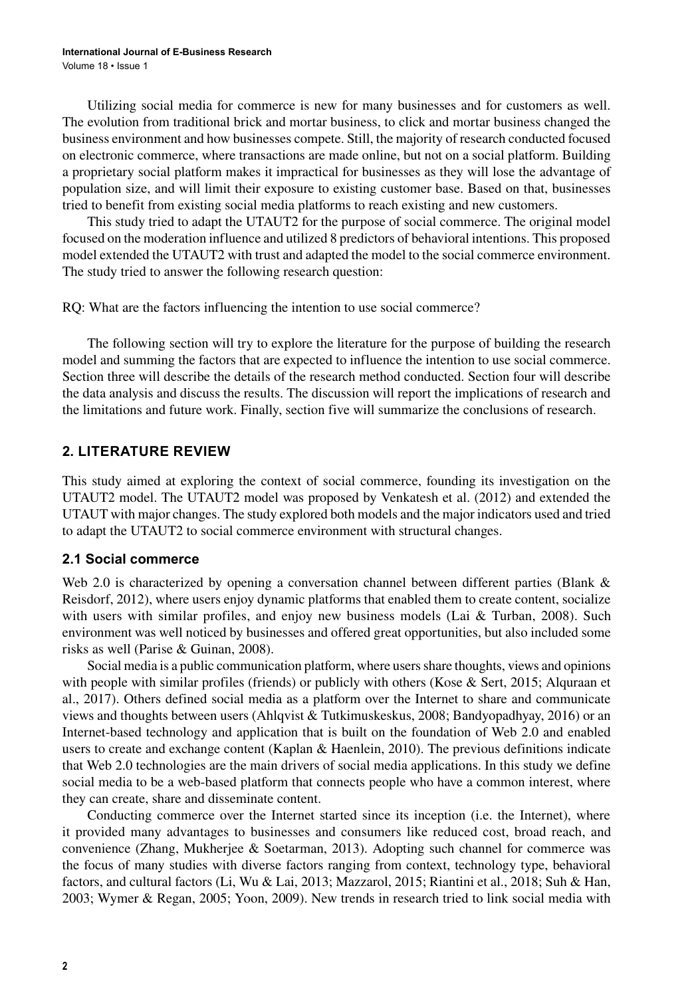Utilizing social media for commerce is new for many businesses and for customers as well. The evolution from traditional brick and mortar business, to click and mortar business changed the business environment and how businesses compete. Still, the majority of research conducted focused on electronic commerce, where transactions are made online, but not on a social platform. Building a proprietary social platform makes it impractical for businesses as they will lose the advantage of population size, and will limit their exposure to existing customer base. Based on that, businesses tried to benefit from existing social media platforms to reach existing and new customers.

This study tried to adapt the UTAUT2 for the purpose of social commerce. The original model focused on the moderation influence and utilized 8 predictors of behavioral intentions. This proposed model extended the UTAUT2 with trust and adapted the model to the social commerce environment. The study tried to answer the following research question:

RQ: What are the factors influencing the intention to use social commerce?

The following section will try to explore the literature for the purpose of building the research model and summing the factors that are expected to influence the intention to use social commerce. Section three will describe the details of the research method conducted. Section four will describe the data analysis and discuss the results. The discussion will report the implications of research and the limitations and future work. Finally, section five will summarize the conclusions of research.

## **2. LITERATURE REVIEW**

This study aimed at exploring the context of social commerce, founding its investigation on the UTAUT2 model. The UTAUT2 model was proposed by Venkatesh et al. (2012) and extended the UTAUT with major changes. The study explored both models and the major indicators used and tried to adapt the UTAUT2 to social commerce environment with structural changes.

#### **2.1 Social commerce**

Web 2.0 is characterized by opening a conversation channel between different parties (Blank & Reisdorf, 2012), where users enjoy dynamic platforms that enabled them to create content, socialize with users with similar profiles, and enjoy new business models (Lai & Turban, 2008). Such environment was well noticed by businesses and offered great opportunities, but also included some risks as well (Parise & Guinan, 2008).

Social media is a public communication platform, where users share thoughts, views and opinions with people with similar profiles (friends) or publicly with others (Kose  $\&$  Sert, 2015; Alquraan et al., 2017). Others defined social media as a platform over the Internet to share and communicate views and thoughts between users (Ahlqvist & Tutkimuskeskus, 2008; Bandyopadhyay, 2016) or an Internet-based technology and application that is built on the foundation of Web 2.0 and enabled users to create and exchange content (Kaplan & Haenlein, 2010). The previous definitions indicate that Web 2.0 technologies are the main drivers of social media applications. In this study we define social media to be a web-based platform that connects people who have a common interest, where they can create, share and disseminate content.

Conducting commerce over the Internet started since its inception (i.e. the Internet), where it provided many advantages to businesses and consumers like reduced cost, broad reach, and convenience (Zhang, Mukherjee & Soetarman, 2013). Adopting such channel for commerce was the focus of many studies with diverse factors ranging from context, technology type, behavioral factors, and cultural factors (Li, Wu & Lai, 2013; Mazzarol, 2015; Riantini et al., 2018; Suh & Han, 2003; Wymer & Regan, 2005; Yoon, 2009). New trends in research tried to link social media with